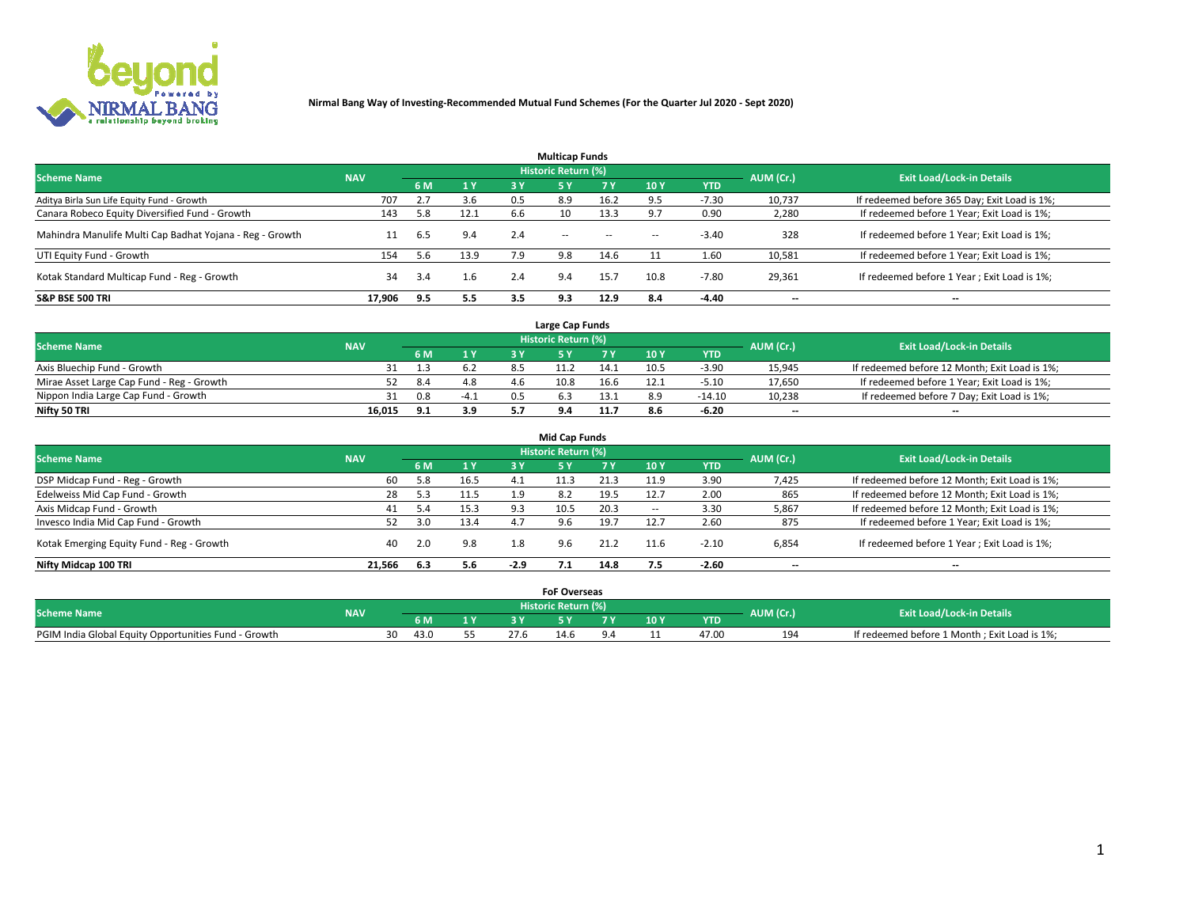

| <b>Multicap Funds</b>                                    |            |     |      |     |                     |           |                          |            |           |                                              |  |  |  |  |
|----------------------------------------------------------|------------|-----|------|-----|---------------------|-----------|--------------------------|------------|-----------|----------------------------------------------|--|--|--|--|
| <b>Scheme Name</b>                                       | <b>NAV</b> |     |      |     | Historic Return (%) |           |                          |            | AUM (Cr.) | <b>Exit Load/Lock-in Details</b>             |  |  |  |  |
|                                                          |            | 6 M | 1Y   | 3 Y | <b>5Y</b>           | <b>7Y</b> | 10Y                      | <b>YTD</b> |           |                                              |  |  |  |  |
| Aditya Birla Sun Life Equity Fund - Growth               | 707        |     | 3.6  | 0.5 | 8.9                 | 16.2      |                          | $-7.30$    | 10,737    | If redeemed before 365 Day; Exit Load is 1%; |  |  |  |  |
| Canara Robeco Equity Diversified Fund - Growth           | 143        | 5.8 | 12.1 | 6.6 | 10                  | 13.3      |                          | 0.90       | 2,280     | If redeemed before 1 Year; Exit Load is 1%;  |  |  |  |  |
| Mahindra Manulife Multi Cap Badhat Yojana - Reg - Growth | 11         | 6.5 | 9.4  | 2.4 | $\sim$ $-$          | $\sim$    | $\overline{\phantom{a}}$ | $-3.40$    | 328       | If redeemed before 1 Year; Exit Load is 1%;  |  |  |  |  |
| UTI Equity Fund - Growth                                 | 154        | 5.6 | 13.9 | 7.9 | 9.8                 | 14.6      |                          | 1.60       | 10,581    | If redeemed before 1 Year; Exit Load is 1%;  |  |  |  |  |
| Kotak Standard Multicap Fund - Reg - Growth              | 34         | 3.4 | 1.6  | 2.4 | 9.4                 | 15.7      | 10.8                     | $-7.80$    | 29,361    | If redeemed before 1 Year; Exit Load is 1%;  |  |  |  |  |
| <b>S&amp;P BSE 500 TRI</b>                               | 17.906     | 9.5 | 5.5  | 3.5 | 9.3                 | 12.9      | 8.4                      | $-4.40$    | --        | $- -$                                        |  |  |  |  |

|                                           |            |     |                | Large Cap Funds     |      |      |            |                          |                                               |
|-------------------------------------------|------------|-----|----------------|---------------------|------|------|------------|--------------------------|-----------------------------------------------|
| <b>Scheme Name</b>                        | <b>NAV</b> |     |                | Historic Return (%) |      |      |            | AUM (Cr.)                | <b>Exit Load/Lock-in Details</b>              |
|                                           |            | 6 M | 4 <sub>Y</sub> |                     |      | 10 Y | <b>YTD</b> |                          |                                               |
| Axis Bluechip Fund - Growth               |            |     |                |                     | 14.1 | 10.5 | $-3.90$    | 15,945                   | If redeemed before 12 Month; Exit Load is 1%; |
| Mirae Asset Large Cap Fund - Reg - Growth |            | 8.4 | 4.8            | 10.8                | 16.6 |      | $-5.10$    | 17,650                   | If redeemed before 1 Year; Exit Load is 1%;   |
| Nippon India Large Cap Fund - Growth      |            | 0.8 | $-4.1$         |                     | 13.1 |      | $-14.10$   | 10,238                   | If redeemed before 7 Day; Exit Load is 1%;    |
| Nifty 50 TRI                              | 16.015     | 9.1 | 3.9            |                     |      |      | $-6.20$    | $\overline{\phantom{a}}$ | $- -$                                         |

| <b>Mid Cap Funds</b>                      |            |              |      |        |                            |      |                 |            |                          |                                               |  |  |  |  |
|-------------------------------------------|------------|--------------|------|--------|----------------------------|------|-----------------|------------|--------------------------|-----------------------------------------------|--|--|--|--|
| <b>Scheme Name</b>                        | <b>NAV</b> |              |      |        | <b>Historic Return (%)</b> |      |                 |            | AUM (Cr.)                | <b>Exit Load/Lock-in Details</b>              |  |  |  |  |
|                                           |            | 6 M          | 1Y   | 3 Y    | .5 Y                       |      | 10 <sub>Y</sub> | <b>YTD</b> |                          |                                               |  |  |  |  |
| DSP Midcap Fund - Reg - Growth            | 60         | 5.8          | 16.5 | 4.1    |                            | 21.3 | 11.9            | 3.90       | 7,425                    | If redeemed before 12 Month; Exit Load is 1%; |  |  |  |  |
| Edelweiss Mid Cap Fund - Growth           | 28         | 5.3          | 11.5 | 1.9    | 8.2                        | 19.5 | 12.7            | 2.00       | 865                      | If redeemed before 12 Month; Exit Load is 1%; |  |  |  |  |
| Axis Midcap Fund - Growth                 | 41         | $.4^{\circ}$ | 15.3 | 9.3    | LU.5                       | 20.3 | $\sim$          | 3.30       | 5,867                    | If redeemed before 12 Month; Exit Load is 1%; |  |  |  |  |
| Invesco India Mid Cap Fund - Growth       |            | 3.0          | 13.4 | 4.7    | 9.6                        | 19.7 | 12.7            | 2.60       | 875                      | If redeemed before 1 Year; Exit Load is 1%;   |  |  |  |  |
| Kotak Emerging Equity Fund - Reg - Growth | 40         | 2.0          | 9.8  | 1.8    | 9.6                        | 21.2 | 11.6            | $-2.10$    | 6,854                    | If redeemed before 1 Year; Exit Load is 1%;   |  |  |  |  |
| Nifty Midcap 100 TRI                      | 21.566     | 6.3          | 5.6  | $-2.9$ |                            | 14.8 | 7.5             | $-2.60$    | $\overline{\phantom{a}}$ | $\overline{\phantom{a}}$                      |  |  |  |  |

|                                                      |            |      |     |      | <b>FoF Overseas</b> |      |            |           |                                              |
|------------------------------------------------------|------------|------|-----|------|---------------------|------|------------|-----------|----------------------------------------------|
| <b>Scheme Name</b>                                   | <b>NAV</b> |      |     |      | Historic Return (%) |      |            | AUM (Cr.) | <b>Exit Load/Lock-in Details</b>             |
|                                                      |            | 6 M  | 1 Y |      |                     | 10 Y | <b>YTD</b> |           |                                              |
| PGIM India Global Equity Opportunities Fund - Growth |            | 43.0 |     | 27.6 |                     |      | 47.00      | 194       | If redeemed before 1 Month; Exit Load is 1%; |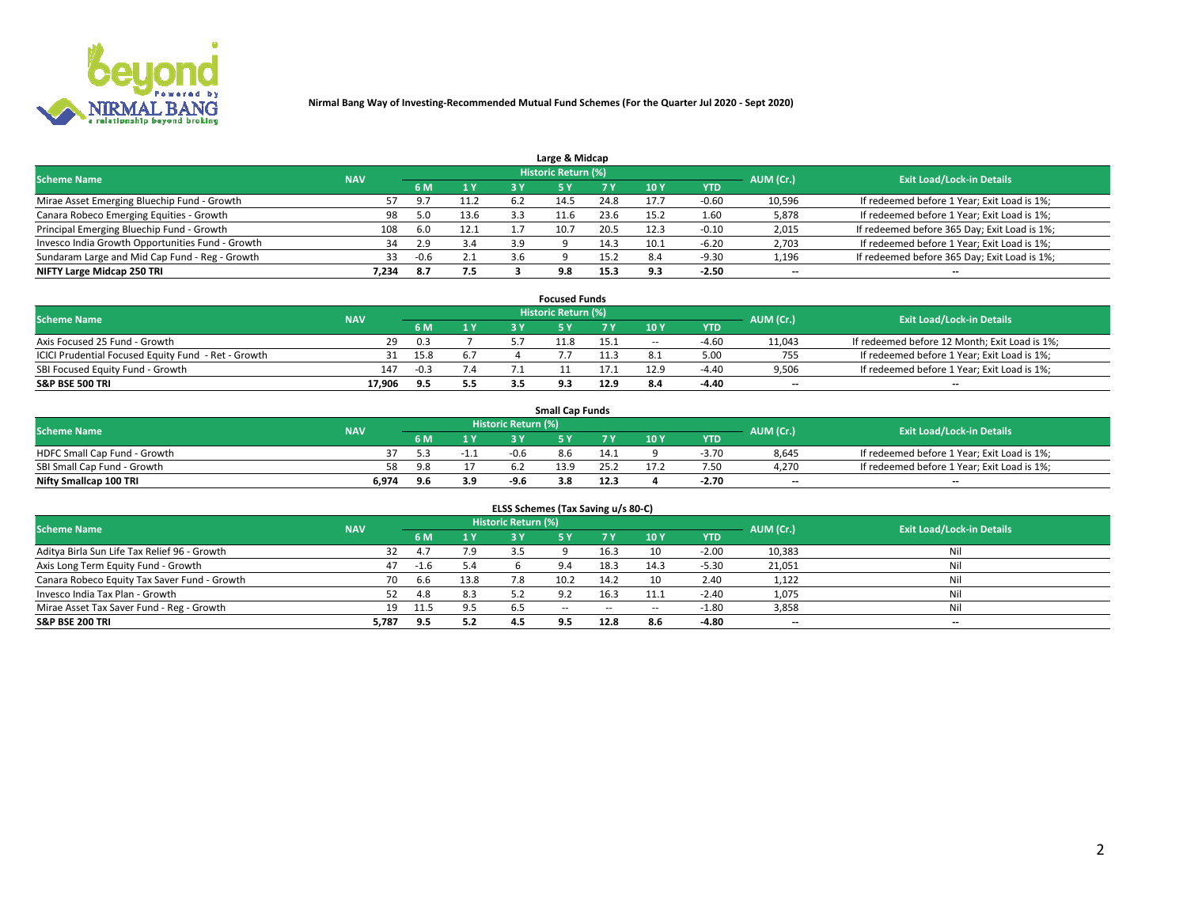

| Large & Midcap                                   |            |      |      |     |                     |      |      |            |                          |                                              |  |  |  |  |
|--------------------------------------------------|------------|------|------|-----|---------------------|------|------|------------|--------------------------|----------------------------------------------|--|--|--|--|
| <b>Scheme Name</b>                               | <b>NAV</b> |      |      |     | Historic Return (%) |      |      |            | AUM (Cr.)                | <b>Exit Load/Lock-in Details</b>             |  |  |  |  |
|                                                  |            | 6 M  | 1 Y  | 3 Y |                     | 7 V  | 10Y  | <b>YTD</b> |                          |                                              |  |  |  |  |
| Mirae Asset Emerging Bluechip Fund - Growth      |            |      | 11.2 | 6.2 | 14.5                | 24.8 | 17.  | $-0.60$    | 10,596                   | If redeemed before 1 Year; Exit Load is 1%;  |  |  |  |  |
| Canara Robeco Emerging Equities - Growth         | 98         | 5.0  | 13.6 |     | 11.6                | 23.6 | 15.2 | 1.60       | 5,878                    | If redeemed before 1 Year; Exit Load is 1%;  |  |  |  |  |
| Principal Emerging Bluechip Fund - Growth        | 108        | 6.0  | 12.1 |     | 10.7                | 20.5 | 12.3 | $-0.10$    | 2,015                    | If redeemed before 365 Day; Exit Load is 1%; |  |  |  |  |
| Invesco India Growth Opportunities Fund - Growth | 34         | 2.9  | 3.4  | 3.9 |                     | 14.3 | 10.1 | $-6.20$    | 2,703                    | If redeemed before 1 Year; Exit Load is 1%;  |  |  |  |  |
| Sundaram Large and Mid Cap Fund - Reg - Growth   | 33         | -0.6 | 2.1  | 3.6 |                     | 15.2 | 8.4  | $-9.30$    | 1,196                    | If redeemed before 365 Day; Exit Load is 1%; |  |  |  |  |
| NIFTY Large Midcap 250 TRI                       | 7.234      | 8.7  | 7.5  |     | 9.8                 | 15.3 |      | $-2.50$    | $\overline{\phantom{a}}$ | $- -$                                        |  |  |  |  |

|                                                     |            |        |     | <b>Focused Funds</b>       |      |        |            |                          |                                               |
|-----------------------------------------------------|------------|--------|-----|----------------------------|------|--------|------------|--------------------------|-----------------------------------------------|
| <b>Scheme Name</b>                                  | <b>NAV</b> |        |     | <b>Historic Return (%)</b> |      |        |            | AUM (Cr.)                | <b>Exit Load/Lock-in Details</b>              |
|                                                     |            | 6 M    | 1 V |                            |      | 10 Y   | <b>YTD</b> |                          |                                               |
| Axis Focused 25 Fund - Growth                       | 29         | 0.3    |     |                            | 15.1 | $\sim$ | $-4.60$    | 11,043                   | If redeemed before 12 Month; Exit Load is 1%; |
| ICICI Prudential Focused Equity Fund - Ret - Growth | 31         | 15.8   | 6.7 |                            |      |        | 5.00       | 755                      | If redeemed before 1 Year; Exit Load is 1%;   |
| SBI Focused Equity Fund - Growth                    | 147        | $-0.3$ | 7.4 |                            |      | 1 2 0  | $-4.40$    | 9,506                    | If redeemed before 1 Year; Exit Load is 1%;   |
| S&P BSE 500 TRI                                     | 17.906     |        | 5.5 |                            | 12.9 |        | $-4.40$    | $\overline{\phantom{a}}$ | $- -$                                         |

|                              |            |            |     |                     | <b>Small Cap Funds</b> |      |                 |            |           |                                             |
|------------------------------|------------|------------|-----|---------------------|------------------------|------|-----------------|------------|-----------|---------------------------------------------|
| <b>Scheme Name</b>           | <b>NAV</b> |            |     | Historic Return (%) |                        |      |                 |            | AUM (Cr.) | <b>Exit Load/Lock-in Details</b>            |
|                              |            | 6 M        | 1 Y |                     |                        |      | 10 <sub>Y</sub> | <b>YTD</b> |           |                                             |
| HDFC Small Cap Fund - Growth |            |            |     | -0.6                | 8.6                    |      |                 | -3.70      | 8,645     | If redeemed before 1 Year; Exit Load is 1%; |
| SBI Small Cap Fund - Growth  |            | <b>Q</b> 9 |     |                     | 13.9                   |      |                 | 7.50       | 4.270     | If redeemed before 1 Year; Exit Load is 1%; |
| Nifty Smallcap 100 TRI       | 6.974      | 9 R        | 3.9 | $-9.6$              | 3.8                    | 12.3 |                 | -2.70      | $- -$     | $- -$                                       |

| ELSS Schemes (Tax Saving u/s 80-C)           |            |       |      |                            |            |        |                          |            |                          |                                  |  |  |  |
|----------------------------------------------|------------|-------|------|----------------------------|------------|--------|--------------------------|------------|--------------------------|----------------------------------|--|--|--|
| <b>Scheme Name</b>                           | <b>NAV</b> |       |      | <b>Historic Return (%)</b> |            |        |                          |            | AUM (Cr.)                | <b>Exit Load/Lock-in Details</b> |  |  |  |
|                                              |            | - 6 M | 1Y   | 73 Y                       | <b>5Y</b>  | 7 Y    | 10 Y                     | <b>YTD</b> |                          |                                  |  |  |  |
| Aditya Birla Sun Life Tax Relief 96 - Growth |            | 47    | 7.9  |                            |            | 16.3   | 10                       | $-2.00$    | 10,383                   | Nil                              |  |  |  |
| Axis Long Term Equity Fund - Growth          | 47         |       | 5.4  |                            | 9.4        | 18.3   | 14.3                     | $-5.30$    | 21,051                   | Nil                              |  |  |  |
| Canara Robeco Equity Tax Saver Fund - Growth | 70         | 6.6   | 13.8 |                            | 10.2       | 14.2   | 10                       | 2.40       | 1,122                    | Nil                              |  |  |  |
| Invesco India Tax Plan - Growth              |            | 4.8   | 8.3  |                            |            | 16.3   | 11.1                     | $-2.40$    | 1,075                    | Nil                              |  |  |  |
| Mirae Asset Tax Saver Fund - Reg - Growth    | 19         | 11.5  | 9.5  | 6.5                        | $\sim$ $-$ | $\sim$ | $\overline{\phantom{a}}$ | $-1.80$    | 3,858                    | Nil                              |  |  |  |
| S&P BSE 200 TRI                              | 5,787      | 9.5   | 5.2  |                            | 9.5        | 12.8   | 8.6                      | $-4.80$    | $\overline{\phantom{a}}$ | $- -$                            |  |  |  |

# 2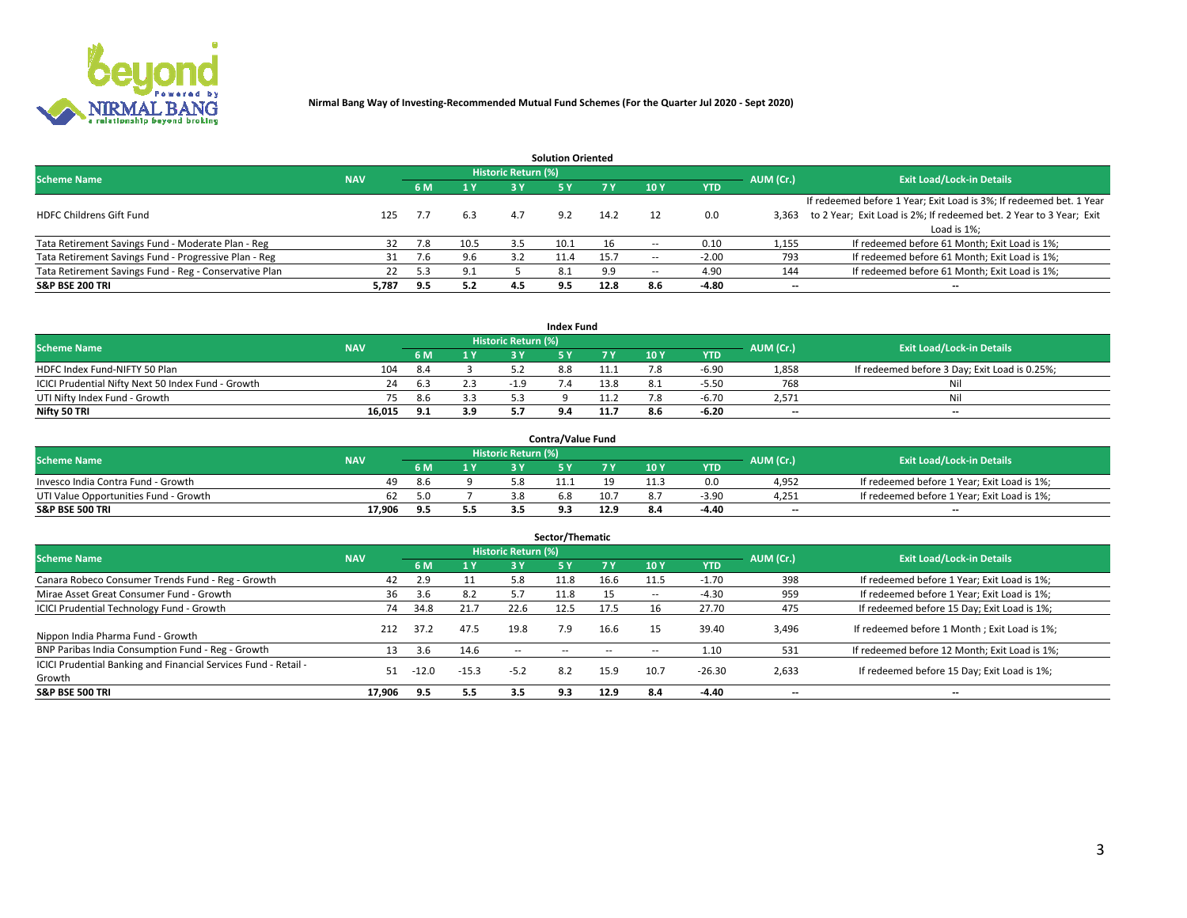

| <b>Solution Oriented</b>                               |            |            |      |                            |      |      |                          |            |                          |                                                                     |  |  |  |  |
|--------------------------------------------------------|------------|------------|------|----------------------------|------|------|--------------------------|------------|--------------------------|---------------------------------------------------------------------|--|--|--|--|
| <b>Scheme Name</b>                                     | <b>NAV</b> |            |      | <b>Historic Return (%)</b> |      |      |                          |            | AUM (Cr.)                | <b>Exit Load/Lock-in Details</b>                                    |  |  |  |  |
|                                                        |            | <b>6 M</b> | 1 Y  | 3 Y                        |      |      | 10Y                      | <b>YTD</b> |                          |                                                                     |  |  |  |  |
|                                                        |            |            |      |                            |      |      |                          |            |                          | If redeemed before 1 Year; Exit Load is 3%; If redeemed bet. 1 Year |  |  |  |  |
| <b>HDFC Childrens Gift Fund</b>                        | 125        | 7.7        | 6.3  | 4.7                        | 9.2  | 14.2 |                          | 0.0        | 3.363                    | to 2 Year; Exit Load is 2%; If redeemed bet. 2 Year to 3 Year; Exit |  |  |  |  |
|                                                        |            |            |      |                            |      |      |                          |            |                          | Load is 1%;                                                         |  |  |  |  |
| Tata Retirement Savings Fund - Moderate Plan - Reg     | 32         | 7.8        | 10.5 | 3.5                        | 10.1 | 16   |                          | 0.10       | 1,155                    | If redeemed before 61 Month; Exit Load is 1%;                       |  |  |  |  |
| Tata Retirement Savings Fund - Progressive Plan - Reg  | 31         | 7.6        | 9.6  | 3.2                        | 11.4 | 15.7 | $\overline{\phantom{a}}$ | $-2.00$    | 793                      | If redeemed before 61 Month; Exit Load is 1%;                       |  |  |  |  |
| Tata Retirement Savings Fund - Reg - Conservative Plan | 22         | 5.3        | 9.1  |                            | 8.1  | 9.9  | --                       | 4.90       | 144                      | If redeemed before 61 Month; Exit Load is 1%;                       |  |  |  |  |
| S&P BSE 200 TRI                                        | 5,787      | 9.5        | 5.2  | 4.5                        | 9.5  | 12.8 | 8.6                      | $-4.80$    | $\overline{\phantom{a}}$ | $- -$                                                               |  |  |  |  |

|                                                    |            |      |     |                            | <b>Index Fund</b> |      |      |            |                          |                                               |
|----------------------------------------------------|------------|------|-----|----------------------------|-------------------|------|------|------------|--------------------------|-----------------------------------------------|
| <b>Scheme Name</b>                                 | <b>NAV</b> |      |     | <b>Historic Return (%)</b> |                   |      |      |            | AUM (Cr.)                | <b>Exit Load/Lock-in Details</b>              |
|                                                    |            | 6 M  | 1Y  | 2 V                        |                   |      | 10 Y | <b>YTD</b> |                          |                                               |
| HDFC Index Fund-NIFTY 50 Plan                      | 104        | 8.4  |     |                            | 8.8               | 11.1 |      | $-6.90$    | 1,858                    | If redeemed before 3 Day; Exit Load is 0.25%; |
| ICICI Prudential Nifty Next 50 Index Fund - Growth |            | -6.3 |     | $-19$                      |                   | 13.8 |      | $-5.50$    | 768                      | Nil                                           |
| UTI Nifty Index Fund - Growth                      |            | 8.6  |     |                            |                   |      |      | $-6.70$    | 2,571                    | Nil                                           |
| Nifty 50 TRI                                       | 16.015     | 9.1  | 3.9 |                            |                   | 11.7 | 8.6  | $-6.20$    | $\overline{\phantom{a}}$ | $- -$                                         |

|                                       |            |     |     |                            | <b>Contra/Value Fund</b> |      |     |            |                          |                                             |
|---------------------------------------|------------|-----|-----|----------------------------|--------------------------|------|-----|------------|--------------------------|---------------------------------------------|
| <b>Scheme Name</b>                    | <b>NAV</b> |     |     | <b>Historic Return (%)</b> |                          |      |     |            | AUM (Cr.)                | <b>Exit Load/Lock-in Details</b>            |
|                                       |            |     | 4 V |                            |                          | 7 V  | 10Y | <b>YTD</b> |                          |                                             |
| Invesco India Contra Fund - Growth    | 49         | 8.6 |     |                            |                          |      |     | 0.0        | 4,952                    | If redeemed before 1 Year; Exit Load is 1%; |
| UTI Value Opportunities Fund - Growth | 62         | 5.C |     |                            | D.ŏ                      | 10.7 |     | $-3.90$    | 4,251                    | If redeemed before 1 Year; Exit Load is 1%; |
| <b>S&amp;P BSE 500 TRI</b>            | 17.906     |     | 5.5 |                            |                          | 12.9 |     | $-4.40$    | $\overline{\phantom{a}}$ | $- -$                                       |

| Sector/Thematic                                                           |            |         |         |                     |            |            |                          |            |           |                                               |  |  |  |  |
|---------------------------------------------------------------------------|------------|---------|---------|---------------------|------------|------------|--------------------------|------------|-----------|-----------------------------------------------|--|--|--|--|
| <b>Scheme Name</b>                                                        | <b>NAV</b> |         |         | Historic Return (%) |            |            |                          |            | AUM (Cr.) | <b>Exit Load/Lock-in Details</b>              |  |  |  |  |
|                                                                           |            | 6 M     | 1 Y     | 3 Y                 | <b>5Y</b>  | <b>7 Y</b> | 10Y                      | <b>YTD</b> |           |                                               |  |  |  |  |
| Canara Robeco Consumer Trends Fund - Reg - Growth                         | 42         | 2.9     | 11      | 5.8                 | 11.8       | 16.6       | 11.5                     | $-1.70$    | 398       | If redeemed before 1 Year; Exit Load is 1%;   |  |  |  |  |
| Mirae Asset Great Consumer Fund - Growth                                  | 36         | 3.6     | 8.2     |                     | 11.8       |            | $\overline{\phantom{a}}$ | $-4.30$    | 959       | If redeemed before 1 Year; Exit Load is 1%;   |  |  |  |  |
| <b>ICICI Prudential Technology Fund - Growth</b>                          | 74         | 34.8    | 21.7    | 22.6                | 12.5       | 17.5       | 16                       | 27.70      | 475       | If redeemed before 15 Day; Exit Load is 1%;   |  |  |  |  |
| Nippon India Pharma Fund - Growth                                         | 212        | 37.2    | 47.5    | 19.8                | 7.9        | 16.6       | 15                       | 39.40      | 3,496     | If redeemed before 1 Month; Exit Load is 1%;  |  |  |  |  |
| BNP Paribas India Consumption Fund - Reg - Growth                         | 13         | 3.6     | 14.6    | $\sim$ $\sim$       | $\sim$ $-$ | $\sim$     | $\overline{\phantom{a}}$ | 1.10       | 531       | If redeemed before 12 Month; Exit Load is 1%; |  |  |  |  |
| ICICI Prudential Banking and Financial Services Fund - Retail -<br>Growth | 51         | $-12.0$ | $-15.3$ | $-5.2$              | 8.2        | 15.9       | 10.7                     | $-26.30$   | 2,633     | If redeemed before 15 Day; Exit Load is 1%;   |  |  |  |  |
| <b>S&amp;P BSE 500 TRI</b>                                                | 17.906     | 9.5     | 5.5     | 3.5                 | 9.3        | 12.9       | 8.4                      | $-4.40$    | $- -$     | --                                            |  |  |  |  |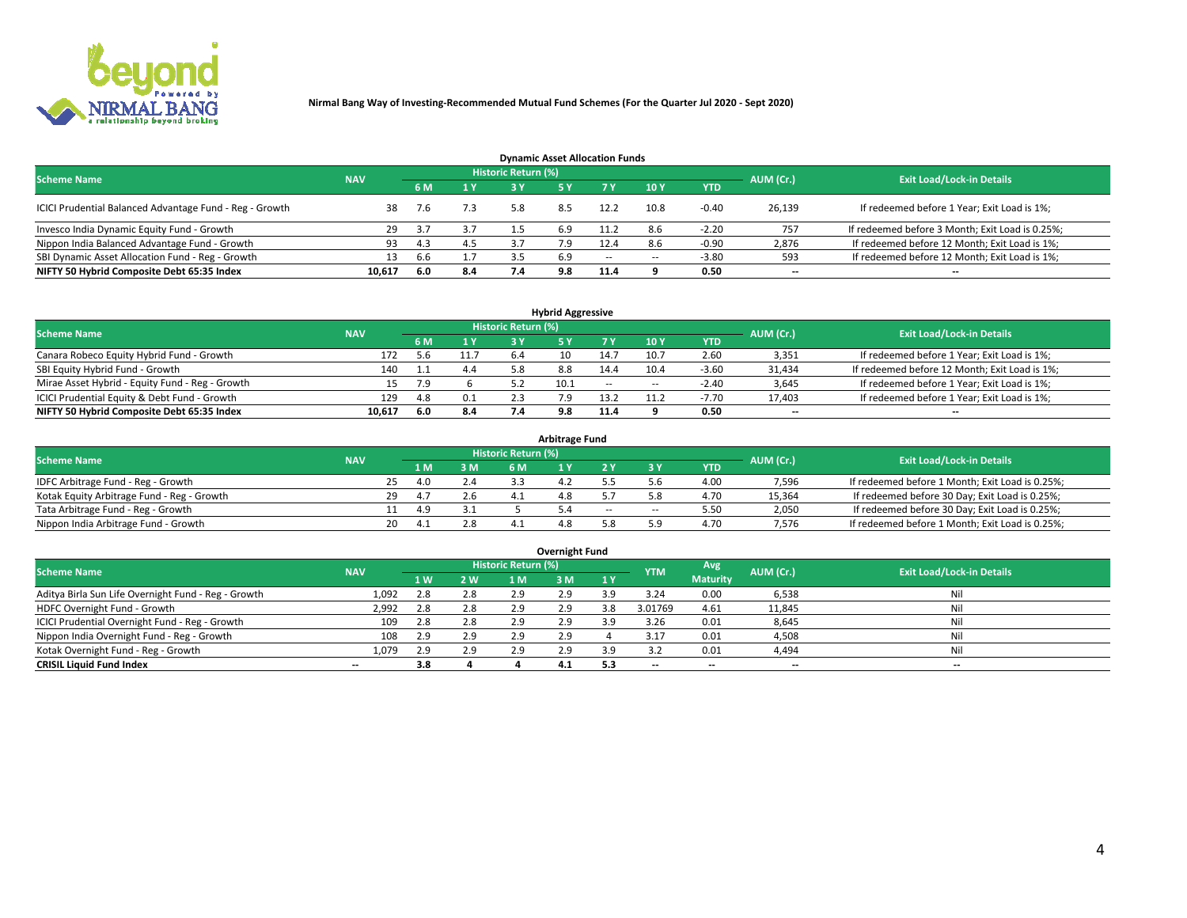

| <b>Dynamic Asset Allocation Funds</b>                   |            |     |                         |                            |     |        |        |            |                          |                                                 |  |  |  |  |
|---------------------------------------------------------|------------|-----|-------------------------|----------------------------|-----|--------|--------|------------|--------------------------|-------------------------------------------------|--|--|--|--|
| <b>Scheme Name</b>                                      | <b>NAV</b> |     |                         | <b>Historic Return (%)</b> |     |        |        |            | AUM (Cr.)                | <b>Exit Load/Lock-in Details</b>                |  |  |  |  |
|                                                         |            |     | $\mathbf{1} \mathbf{V}$ | 2 V                        |     | 7 Y    | 10 Y   | <b>YTD</b> |                          |                                                 |  |  |  |  |
| ICICI Prudential Balanced Advantage Fund - Reg - Growth | 38         |     | 7.3                     | 5.8                        | 8.5 | 12.2   | 10.8   | $-0.40$    | 26,139                   | If redeemed before 1 Year; Exit Load is 1%;     |  |  |  |  |
| Invesco India Dynamic Equity Fund - Growth              | 29         | 3.7 |                         |                            | 6.9 | 11.2   |        | $-2.20$    | 757                      | If redeemed before 3 Month; Exit Load is 0.25%; |  |  |  |  |
| Nippon India Balanced Advantage Fund - Growth           | 93         | 4.3 | 4.5                     |                            |     |        |        | -0.90      | 2,876                    | If redeemed before 12 Month; Exit Load is 1%;   |  |  |  |  |
| SBI Dynamic Asset Allocation Fund - Reg - Growth        |            | b.b |                         |                            | 6.9 | $\sim$ | $\sim$ | $-3.80$    | 593                      | If redeemed before 12 Month; Exit Load is 1%;   |  |  |  |  |
| NIFTY 50 Hybrid Composite Debt 65:35 Index              | 10,617     | 6.0 | 8.4                     |                            | 9.8 | 11.4   |        | 0.50       | $\overline{\phantom{a}}$ | $- -$                                           |  |  |  |  |

| <b>Hybrid Aggressive</b>                        |            |     |                         |                            |      |            |            |            |           |                                               |  |  |  |  |
|-------------------------------------------------|------------|-----|-------------------------|----------------------------|------|------------|------------|------------|-----------|-----------------------------------------------|--|--|--|--|
| <b>Scheme Name</b>                              | <b>NAV</b> |     |                         | <b>Historic Return (%)</b> |      |            |            |            | AUM (Cr.) | <b>Exit Load/Lock-in Details</b>              |  |  |  |  |
|                                                 |            |     | $\mathbf{A} \mathbf{V}$ | R٧                         |      |            | <b>10Y</b> | <b>YTD</b> |           |                                               |  |  |  |  |
| Canara Robeco Equity Hybrid Fund - Growth       | 172        | 56  | 11.7                    | 6.4                        |      | 14.7       | 10.        | 2.60       | 3,351     | If redeemed before 1 Year; Exit Load is 1%;   |  |  |  |  |
| SBI Equity Hybrid Fund - Growth                 | 140        |     | 4.4                     |                            | 8.8  | 14.4       | 10.4       | $-3.60$    | 31,434    | If redeemed before 12 Month; Exit Load is 1%; |  |  |  |  |
| Mirae Asset Hybrid - Equity Fund - Reg - Growth | 15.        | 7.9 |                         |                            | 10.1 | $\sim$ $-$ | $\sim$     | $-2.40$    | 3,645     | If redeemed before 1 Year; Exit Load is 1%;   |  |  |  |  |
| ICICI Prudential Equity & Debt Fund - Growth    | 129        | 4.8 | 0.1                     |                            |      | 13.2       |            | $-7.70$    | 17,403    | If redeemed before 1 Year; Exit Load is 1%;   |  |  |  |  |
| NIFTY 50 Hybrid Composite Debt 65:35 Index      | 10.617     | 6.0 | 8.4                     |                            |      | 11.4       |            | 0.50       | --        | $- -$                                         |  |  |  |  |

| <b>Arbitrage Fund</b>                      |            |           |  |     |                     |           |        |        |            |           |                                                 |  |  |  |
|--------------------------------------------|------------|-----------|--|-----|---------------------|-----------|--------|--------|------------|-----------|-------------------------------------------------|--|--|--|
| <b>Scheme Name</b>                         | <b>NAV</b> |           |  |     | Historic Return (%) |           |        |        |            | AUM (Cr.) | <b>Exit Load/Lock-in Details</b>                |  |  |  |
|                                            |            | LΜ        |  | 3 M | <b>6M</b>           |           |        |        | <b>YTD</b> |           |                                                 |  |  |  |
| IDFC Arbitrage Fund - Reg - Growth         |            | 25<br>4.0 |  | 2.4 |                     | ــــــــ9 |        |        | 4.00       | 7,596     | If redeemed before 1 Month; Exit Load is 0.25%; |  |  |  |
| Kotak Equity Arbitrage Fund - Reg - Growth |            | 29        |  | 2.6 |                     |           |        |        | 4.70       | 15,364    | If redeemed before 30 Day; Exit Load is 0.25%;  |  |  |  |
| Tata Arbitrage Fund - Reg - Growth         |            | 4.9       |  | 3.1 |                     |           | $\sim$ | $\sim$ | 5.50       | 2,050     | If redeemed before 30 Day; Exit Load is 0.25%;  |  |  |  |
| Nippon India Arbitrage Fund - Growth       |            | 20        |  | 2.8 |                     |           |        | : ဝ    | 4.70       | 7.576     | If redeemed before 1 Month; Exit Load is 0.25%; |  |  |  |

| Overnight Fund                                      |            |           |     |                            |     |     |                          |                 |           |                                  |  |  |  |  |
|-----------------------------------------------------|------------|-----------|-----|----------------------------|-----|-----|--------------------------|-----------------|-----------|----------------------------------|--|--|--|--|
| <b>Scheme Name</b>                                  | <b>NAV</b> |           |     | <b>Historic Return (%)</b> |     |     | <b>YTM</b>               | Avg             | AUM (Cr.) | <b>Exit Load/Lock-in Details</b> |  |  |  |  |
|                                                     |            | <b>1W</b> | 2 W | 1 M.                       | 3 M | 1Y  |                          | <b>Maturity</b> |           |                                  |  |  |  |  |
| Aditya Birla Sun Life Overnight Fund - Reg - Growth | 1,092      |           | 2.8 | 2.9                        | 2.9 | 3.9 | 3.24                     | 0.00            | 6,538     | Nil                              |  |  |  |  |
| HDFC Overnight Fund - Growth                        | 2,992      |           | 2.8 | 2.9                        | 2.9 | 3.8 | 3.01769                  | 4.61            | 11,845    | Nil                              |  |  |  |  |
| ICICI Prudential Overnight Fund - Reg - Growth      | 109        | 2.8       | 2.8 |                            | 2.9 |     | 3.26                     | 0.01            | 8,645     | Nil                              |  |  |  |  |
| Nippon India Overnight Fund - Reg - Growth          | 108        | 2.9       | 2.9 | 2.9                        | 2.9 |     | 3.17                     | 0.01            | 4,508     | Nil                              |  |  |  |  |
| Kotak Overnight Fund - Reg - Growth                 | 1,079      | 2.9       | 2.9 |                            | 2.9 |     |                          | 0.01            | 4,494     | Nil                              |  |  |  |  |
| <b>CRISIL Liquid Fund Index</b>                     | $- -$      | 3.8       |     |                            | 4.1 | 5.3 | $\overline{\phantom{a}}$ | $- -$           | $- -$     | --                               |  |  |  |  |

#### **Overnight Fund**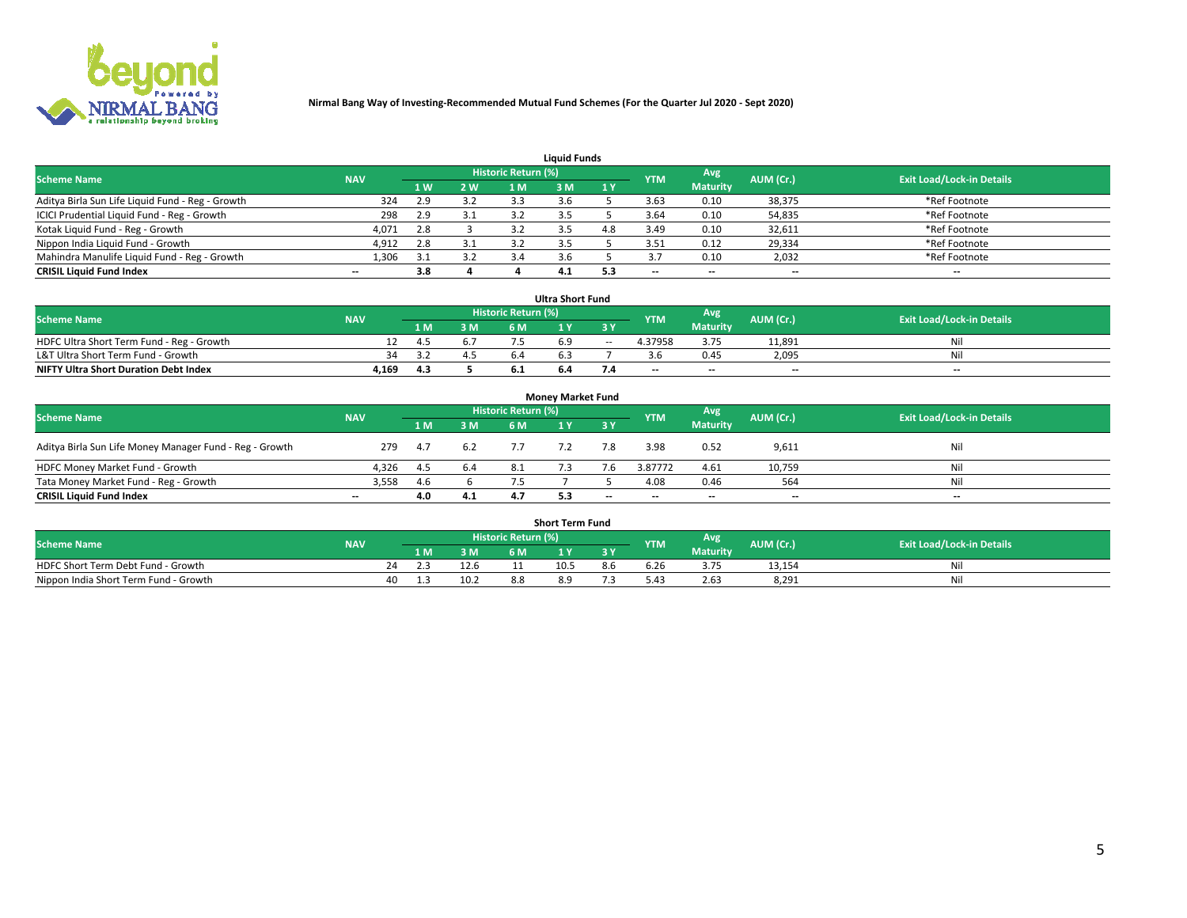

| <b>Liauid Funds</b>                              |            |                |     |                            |     |     |                          |                 |           |                                  |  |  |  |  |
|--------------------------------------------------|------------|----------------|-----|----------------------------|-----|-----|--------------------------|-----------------|-----------|----------------------------------|--|--|--|--|
| <b>Scheme Name</b>                               | <b>NAV</b> |                |     | <b>Historic Return (%)</b> |     |     | <b>YTM</b>               | Avg             | AUM (Cr.) | <b>Exit Load/Lock-in Details</b> |  |  |  |  |
|                                                  |            | 1 <sub>W</sub> | 2 W | '1 M                       | : M | 1Y  |                          | <b>Maturity</b> |           |                                  |  |  |  |  |
| Aditya Birla Sun Life Liquid Fund - Reg - Growth | 324        | 2.9            | 3.2 |                            |     |     | 3.63                     | 0.10            | 38,375    | *Ref Footnote                    |  |  |  |  |
| ICICI Prudential Liquid Fund - Reg - Growth      | 298        | 2.9            | 3.1 | 3.2                        |     |     | 3.64                     | 0.10            | 54,835    | *Ref Footnote                    |  |  |  |  |
| Kotak Liquid Fund - Reg - Growth                 | 4,071      | 2.8            |     |                            |     | 4.8 | 3.49                     | 0.10            | 32,611    | *Ref Footnote                    |  |  |  |  |
| Nippon India Liquid Fund - Growth                | 4,912      | 2.8            | 3.1 |                            |     |     | 3.51                     | 0.12            | 29,334    | *Ref Footnote                    |  |  |  |  |
| Mahindra Manulife Liquid Fund - Reg - Growth     | 1,306      | 21             | 3.2 |                            |     |     |                          | 0.10            | 2,032     | *Ref Footnote                    |  |  |  |  |
| <b>CRISIL Liquid Fund Index</b>                  | $- -$      | 3.8            |     |                            | 4.1 | 5.3 | $\overline{\phantom{a}}$ | --              | --        | $- -$                            |  |  |  |  |

| <b>Ultra Short Fund</b>                      |            |       |     |                            |     |     |            |                 |                          |                                  |  |  |  |  |
|----------------------------------------------|------------|-------|-----|----------------------------|-----|-----|------------|-----------------|--------------------------|----------------------------------|--|--|--|--|
| <b>Scheme Name</b>                           | <b>NAV</b> |       |     | <b>Historic Return (%)</b> |     |     | <b>YTM</b> | Avg             | AUM (Cr.)                | <b>Exit Load/Lock-in Details</b> |  |  |  |  |
|                                              |            | 4 M Z | 3 M | 6 M                        |     |     |            | <b>Maturity</b> |                          |                                  |  |  |  |  |
| HDFC Ultra Short Term Fund - Reg - Growth    |            | 4.5   |     |                            |     | $-$ | 4.37958    | 3.75            | 11,891                   | Νi                               |  |  |  |  |
| L&T Ultra Short Term Fund - Growth           |            |       |     |                            |     |     |            | 0.45            | 2,095                    | Ni                               |  |  |  |  |
| <b>NIFTY Ultra Short Duration Debt Index</b> | 4,169      | 4.3   |     |                            | b.4 |     | $-$        | $- -$           | $\overline{\phantom{a}}$ | $-$                              |  |  |  |  |

| <b>Monev Market Fund</b>                                |                          |      |     |                     |  |           |            |                 |           |                                  |  |  |  |  |
|---------------------------------------------------------|--------------------------|------|-----|---------------------|--|-----------|------------|-----------------|-----------|----------------------------------|--|--|--|--|
| <b>Scheme Name</b>                                      | <b>NAV</b>               |      |     | Historic Return (%) |  |           | <b>YTM</b> | Avg.            | AUM (Cr.) | <b>Exit Load/Lock-in Details</b> |  |  |  |  |
|                                                         |                          | 1 M  | 3 M | 6 M                 |  | <b>3Y</b> |            | <b>Maturity</b> |           |                                  |  |  |  |  |
| Aditya Birla Sun Life Money Manager Fund - Reg - Growth | 279                      | -4.7 | 6.2 |                     |  | 7.8       | 3.98       | 0.52            | 9,611     | Nil                              |  |  |  |  |
| HDFC Money Market Fund - Growth                         | 4.326                    | -4.5 | 6.4 | 8.1                 |  | 7.6       | 3.87772    | 4.61            | 10,759    | Nil                              |  |  |  |  |
| Tata Money Market Fund - Reg - Growth                   | 3,558                    | 4.6  |     |                     |  |           | 4.08       | 0.46            | 564       | Nil                              |  |  |  |  |
| <b>CRISIL Liquid Fund Index</b>                         | $\overline{\phantom{a}}$ | 4.0  | 4.1 |                     |  | $-$       | $-$        | $- -$           | $- -$     | $\overline{\phantom{a}}$         |  |  |  |  |

| <b>Short Term Fund</b>                |            |  |     |      |                     |          |     |               |                 |           |                                  |  |  |  |
|---------------------------------------|------------|--|-----|------|---------------------|----------|-----|---------------|-----------------|-----------|----------------------------------|--|--|--|
| <b>Scheme Name</b>                    | <b>NAV</b> |  |     |      | Historic Return (%) |          |     | <b>YTM</b>    | Avg             | AUM (Cr.) | <b>Exit Load/Lock-in Details</b> |  |  |  |
|                                       |            |  | 1 M | 3 M  | 6 M                 | <b>A</b> | 2 V |               | <b>Maturity</b> |           |                                  |  |  |  |
| HDFC Short Term Debt Fund - Growth    |            |  |     | 12.6 |                     | 10.5     | 8.6 | 6.26          | 3.75            | 13,154    | Nil                              |  |  |  |
| Nippon India Short Term Fund - Growth |            |  |     | 10.2 | 8.8                 |          |     | $5.4^{\circ}$ | 2.63            | 8,291     | Nil                              |  |  |  |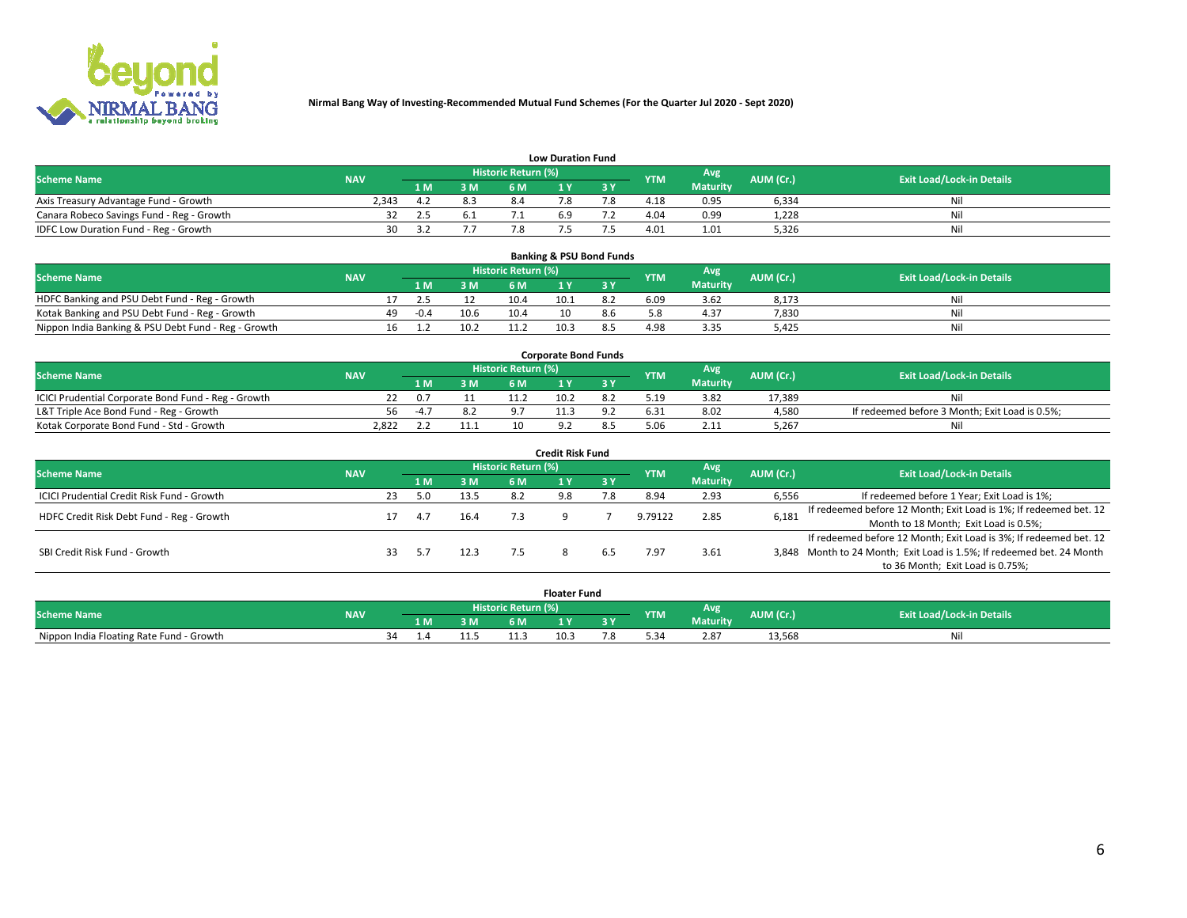

| <b>Low Duration Fund</b>                  |            |      |     |                     |           |     |            |                 |           |                                  |  |  |  |  |
|-------------------------------------------|------------|------|-----|---------------------|-----------|-----|------------|-----------------|-----------|----------------------------------|--|--|--|--|
| <b>Scheme Name</b>                        | <b>NAV</b> |      |     | Historic Return (%) |           |     | <b>YTM</b> | Avg             | AUM (Cr.) | <b>Exit Load/Lock-in Details</b> |  |  |  |  |
|                                           |            | L M. | 3 M |                     |           | 3 Y |            | <b>Maturity</b> |           |                                  |  |  |  |  |
| Axis Treasury Advantage Fund - Growth     | 2.343      |      | 8.3 |                     |           |     | 4.18       | 0.95            | 6,334     | Nil                              |  |  |  |  |
| Canara Robeco Savings Fund - Reg - Growth |            |      | 6.1 |                     | <b>b.</b> |     | 4.04       | 0.99            | 1,228     | Nil                              |  |  |  |  |
| IDFC Low Duration Fund - Reg - Growth     | ว∩         |      |     |                     |           |     | 4.01       | 1.01            | 5,326     | Nil                              |  |  |  |  |

| <b>Banking &amp; PSU Bond Funds</b>                 |            |    |        |      |                     |      |     |            |                 |           |                                  |  |  |  |
|-----------------------------------------------------|------------|----|--------|------|---------------------|------|-----|------------|-----------------|-----------|----------------------------------|--|--|--|
| <b>Scheme Name</b>                                  | <b>NAV</b> |    |        |      | Historic Return (%) |      |     | <b>YTM</b> | Avg             | AUM (Cr.) | <b>Exit Load/Lock-in Details</b> |  |  |  |
|                                                     |            |    | 1 M.   | 3 M  | 6 M                 |      |     |            | <b>Maturity</b> |           |                                  |  |  |  |
| HDFC Banking and PSU Debt Fund - Reg - Growth       |            |    |        |      | 10.4                | 10.1 | 8.2 | 6.09       | 3.62            | 8,173     | Ni                               |  |  |  |
| Kotak Banking and PSU Debt Fund - Reg - Growth      |            | 49 | $-0.4$ | 10.6 | 10.4                |      |     |            | 4.37            | 7,830     | Ni                               |  |  |  |
| Nippon India Banking & PSU Debt Fund - Reg - Growth |            | 16 |        | 10.2 | 11.2                | 10.3 |     | 4.98       | 3.35            | 5.425     | Νi                               |  |  |  |

| <b>Corporate Bond Funds</b>                         |            |        |     |                            |      |  |            |          |           |                                                |  |  |  |  |
|-----------------------------------------------------|------------|--------|-----|----------------------------|------|--|------------|----------|-----------|------------------------------------------------|--|--|--|--|
| <b>Scheme Name</b>                                  | <b>NAV</b> |        |     | <b>Historic Return (%)</b> |      |  | <b>YTM</b> | Avg      | AUM (Cr.) | <b>Exit Load/Lock-in Details</b>               |  |  |  |  |
|                                                     |            |        | 3 M | 6 M                        |      |  |            | Maturity |           |                                                |  |  |  |  |
| ICICI Prudential Corporate Bond Fund - Reg - Growth |            |        |     |                            | 10.2 |  | 5.19       | 3.82     | 17.389    | Nil                                            |  |  |  |  |
| L&T Triple Ace Bond Fund - Reg - Growth             | 56         | $-4.7$ |     |                            |      |  | 6.31       | 8.02     | 4,580     | If redeemed before 3 Month; Exit Load is 0.5%; |  |  |  |  |
| Kotak Corporate Bond Fund - Std - Growth            | 2.822      |        | 11  | 10                         |      |  |            | 2.11     | 5,267     | Nil                                            |  |  |  |  |

| <b>Credit Risk Fund</b>                    |            |    |     |      |                            |     |           |            |                 |           |                                                                       |  |  |  |
|--------------------------------------------|------------|----|-----|------|----------------------------|-----|-----------|------------|-----------------|-----------|-----------------------------------------------------------------------|--|--|--|
| <b>Scheme Name</b>                         | <b>NAV</b> |    |     |      | <b>Historic Return (%)</b> |     |           | <b>YTM</b> | <b>Avg</b>      | AUM (Cr.) | <b>Exit Load/Lock-in Details</b>                                      |  |  |  |
|                                            |            |    | 1 M | 3 M  | 6 M                        |     | <b>3Y</b> |            | <b>Maturity</b> |           |                                                                       |  |  |  |
| ICICI Prudential Credit Risk Fund - Growth |            | 23 | 5.0 | 13.5 | 8.2                        | 9.8 | . ס       | 8.94       | 2.93            | 6,556     | If redeemed before 1 Year; Exit Load is 1%;                           |  |  |  |
| HDFC Credit Risk Debt Fund - Reg - Growth  |            |    | 4.7 | 16.4 |                            |     |           | 9.79122    | 2.85            | 6,181     | If redeemed before 12 Month; Exit Load is 1%; If redeemed bet. 12     |  |  |  |
|                                            |            |    |     |      |                            |     |           |            |                 |           | Month to 18 Month; Exit Load is 0.5%;                                 |  |  |  |
|                                            |            |    |     |      |                            |     |           |            |                 |           | If redeemed before 12 Month; Exit Load is 3%; If redeemed bet. 12     |  |  |  |
| SBI Credit Risk Fund - Growth              |            |    |     | 12.3 |                            |     |           | 7.97       | 3.61            |           | 3,848 Month to 24 Month; Exit Load is 1.5%; If redeemed bet. 24 Month |  |  |  |
|                                            |            |    |     |      |                            |     |           |            |                 |           | to 36 Month; Exit Load is 0.75%;                                      |  |  |  |

| <b>Floater Fund</b>                      |            |    |     |    |                     |      |   |            |                 |           |                                  |
|------------------------------------------|------------|----|-----|----|---------------------|------|---|------------|-----------------|-----------|----------------------------------|
| <b>Scheme Name</b>                       | <b>NAV</b> |    |     |    | Historic Return (%) |      |   | <b>YTM</b> | Avg             | AUM (Cr.) | <b>Exit Load/Lock-in Details</b> |
|                                          |            |    | 1 M | ЗM | 6 M                 | - 17 | . |            | <b>Maturity</b> |           |                                  |
| Nippon India Floating Rate Fund - Growth |            | ≺⊿ |     | .  |                     | 10.3 |   |            | 2.87            | 13,568    | NL                               |